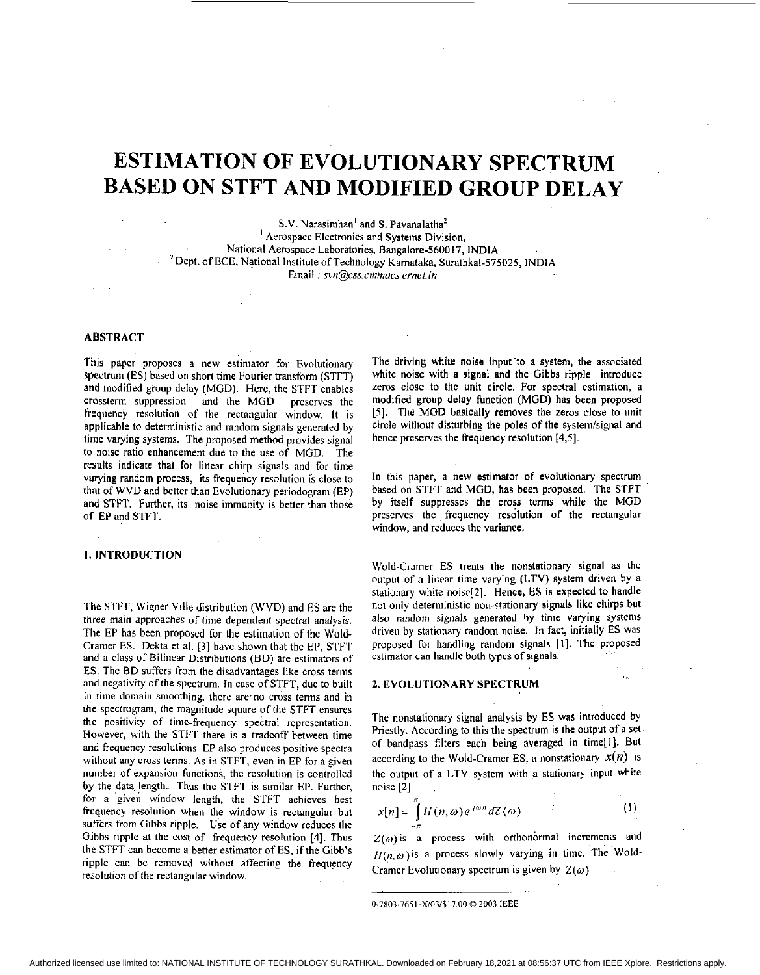# **ESTIMATION OF EVOLUTIONARY SPECTRUM BASED ON STFT AND MODIFIED GROUP DELAY**

S.V. Narasimhan' and S. Pavanalatha' ' Aerospace Electronics and Systems Division, National Aerospace Laboratories, Bangalore-5600 17, INDIA 'Dept. of ECE, National Institute of Technology Kamataka, Surathkal-575025, **INDlA**  Email:  $\frac{svn}{\text{Q}css.}\text{cm}$ macs.ernet.in

## **ABSTRACT**

This paper proposes a new estimator for Evolutionary spectrum (ES) based on short time Fourier transform (STFT) and modified group delay (MGD). Here, the STFT enables crossterm suppression and the MGD preserves the frequency resolution of the rectangular window. It is applicable'to deterministic and random signals generated by time varying systems. The proposed method provides signal to noise ratio enhancement due to the use of MGD. The results indicate that for linear chirp signals and for time varying random process, its frequency resolution is close to that of WVD and better than Evolutionary periodogram (EP) and STFT. Further, its noise immunity is better than those of EP and STFT.

#### **1. INTRODUCTION**

The STFT, Wigner Ville distribution (WVD) and ES are the three main approaches of time dependent spectral analysis. The EP has been proposed for the estimation of the Wold-Cramer ES. Dekta **et** al. [3] have shown that the EP, STFT and a class of Bilinear Distributions (BD) are estimators of ES. The **BD** suffers from the disadvantages like cross terms and negativity of the spectrum. **In** case of STFT, due to built in time domain smoothing, there are no cross terms and in the spectrogram, the magnitude square of the STFT ensures the positivity of time-frequency spectral representation. However, with the STFT there is a tradeoff between time and frequency resolutions. EP also produces positive spectra without any cross terms. As in STFT, even in EP for a given number of expansion functions, the resolution is controlled by the data length. Thus the STFT is similar EP. Further, for a 'given window length, the STFT achieves best frequency resolution when the window is rectangular but suffers from Gibbs ripple. Use of any window reduces the Gibbs ripple at the cost of frequency resolution [4]. Thus the STFT can become a better estimator of ES, if the Gibb's ripple can be removed without affecting the frequency resolution of the rectangular window.

The driving white noise input to a system, the associated white noise with a signal and the Gibbs ripple introduce zeros **close** to the unit circle. For spectral estimation, a modified group delay function (MGD) has been proposed [5]. The MGD basically removes the zeros close to unit circle without disturbing the poles of the system/signal and hence preserves **the** frequency resolution **[4,5].** 

In this paper, a new estimator of evolutionary spectrum based on STFT and MGD, has been proposed. The STFT by itself suppresses the cross terms while the MGD preserves the frequency resolution of the rectangular window, and reduces the variance.

Wold-Cramer ES treats the nonstationary signal as the output of a linear time varying **(LTV)** system driven by a stationary white noisc[2]. **Hence,** ES is expected to handle not only deterministic non-stationary signals like chirps but also random signals generated by time varying systems driven by stationary random noise. In fact, initially **ES** was proposed for handling random signals [I]. The proposed estimator can handle both types of signals.

### **2. EVOLUTIONARY SPECTRUM**

The nonstationary signal analysis by ES was introduced by Priestly. According to this the spectrum is the output of a set of bandpass filters each being averaged in time[]]. But according to the Wold-Cramer ES, a nonstationary  $x(n)$  is the output of a LTV system with a stationary input white noise [2]

$$
x[n] = \int_{-\pi}^{\pi} H(n,\omega) e^{j\omega n} dZ(\omega)
$$

 $Z(\omega)$  is a process with orthonormal increments and  $H(n, \omega)$  is a process slowly varying in time. The Wold-Cramer Evolutionary spectrum is given by  $Z(\omega)$ 

 $(1)$ 

<sup>0-7803-7651-</sup>X/03/\$17,00 D **2003** IEEE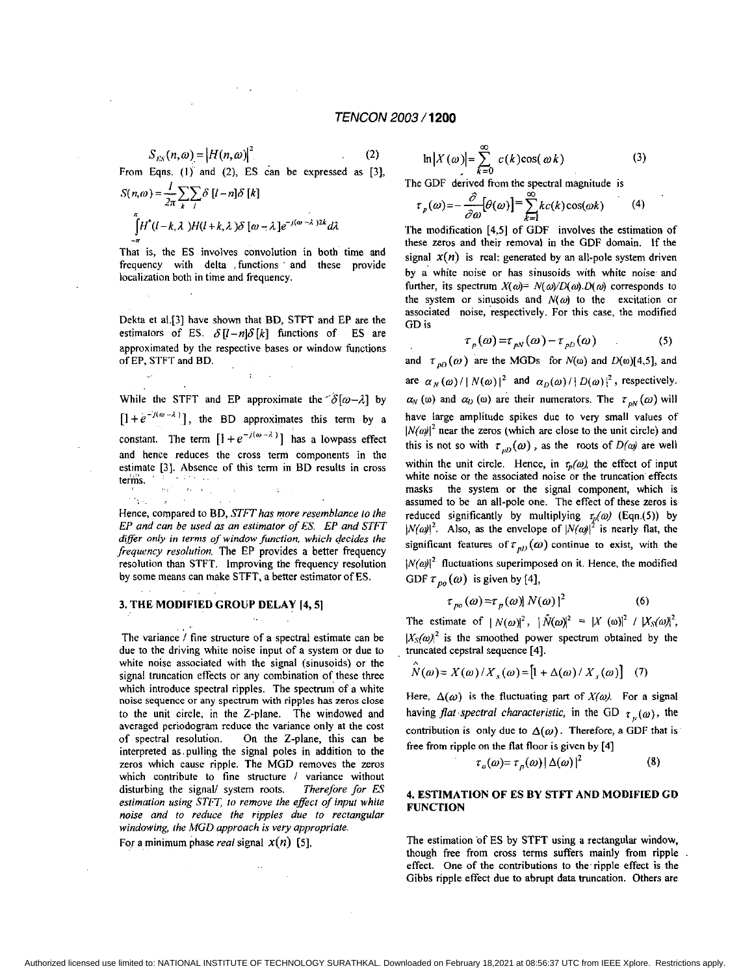$$
S_{ES}(n,\omega) = |H(n,\omega)|^2 \tag{2}
$$

From Eqns. (1) and (2), ES can be expressed as [3],

$$
S(n,\omega) = \frac{1}{2\pi} \sum_{k} \sum_{l} \delta[l-n] \delta[k]
$$

$$
\int_{-\pi}^{\pi} H^*(l-k,\lambda) H(l+k,\lambda) \delta[\omega-\lambda] e^{-j(\omega-\lambda)2k} d\lambda
$$

That **is,** the **ES** involves convolution in both time and frequency with delta .functions and these provide localization both in time and frequency.

Dekta et a1.[3] have shown that **BD,** STFT and **EP** are the estimators of ES.  $\delta[l-n]\delta[k]$  functions of ES are approximated by the respective bases or window functions of **EP,** STFT and BD.

While the STFT and EP approximate the  $\delta[\omega-\lambda]$  by  $[1 + e^{-i(\omega - \lambda)}]$ , the BD approximates this term by a constant. The term  $[1 + e^{-j(\omega - \lambda)}]$  has a lowpass effect and hence reduces the cross term components in the estimate [3]. Absence of this term in **BD** results in cross terms.

 $\pm$  1  $\pm$ 

resolution than STFT. Improving the frequency resolution by some means can make STFT, a better estimator of **ES.** 

 $\label{eq:1} \begin{split} \mathcal{D}(\mathbf{r}^{(1)}_1) = \mathcal{D}(\mathbf{r}^{(1)}_1) = \mathcal{D}(\mathbf{r}^{(1)}_1) = \mathcal{D}(\mathbf{r}^{(1)}_1)\\ \mathcal{D}(\mathbf{r}^{(1)}_1) = \mathcal{D}(\mathbf{r}^{(1)}_1) = \mathcal{D}(\mathbf{r}^{(1)}_1) = \mathcal{D}(\mathbf{r}^{(1)}_1) = \mathcal{D}(\mathbf{r}^{(1)}_1) \end{split}$ Hence, compared to **ED,** *STFT has more resemblance to the EP and can be used as an estimator of ES. EP and STFT differ only in lerms of window firnction, which decides the frequency resolution.* The EP provides a better frequency

#### 3. **THE** MODIFIED **GROUP** DELAY **[4,5]**

.. ..

., The variance / fine structure of a spectral estimate can be due to the driving white noise input of a system or due to white noise associated with the signal (sinusoids) or the signal truncation effects or any combination of these three which introduce spectral ripples. The spectrum of a white noise sequence **or** any spectrum with ripples has **zeros close**  to the unit circle, *in* the 2-plane. The windowed and averaged periodogram reduce the variance only at the cost of spectral resolution. On the Z-plane, this can be interpreted as.pulling the signal poles in addition to the zeros which cause ripple. The MGD removes the zeros which contribute to fine structure / variance without disturbing the signal/ system roots. *Therefore for ES estimation using STFT, to remove rhe effect of input white noise and to reduce the ripples due 10 rectangular windowing, the MGD approach is very appropriate.*  For a minimum phase *real* signal  $x(n)$  [5],

$$
\ln|X(\omega)| = \sum_{k=0}^{\infty} c(k)\cos(\omega k)
$$
 (3)

The GDF derived from the spectral magnitude is

$$
\tau_p(\omega) = -\frac{\partial}{\partial \omega} [\theta(\omega)] = \sum_{k=1}^{\infty} kc(k) \cos(\omega k)
$$
 (4)

The modification **[4,5]** of GDF involves the estimation of these **zeros** and their removal in the GDF domain. If the signal  $x(n)$  is real: generated by an all-pole system driven by a' white noise or has sinusoids with white noise and further, its spectrum  $X(\omega) = N(\omega)/D(\omega)$ . O( $\omega$ ) corresponds to the system or sinusoids and  $N(\omega)$  to the excitation or associated noise, respectively. For this case, the modified GD is

$$
\tau_p(\omega) = \tau_{pN}(\omega) - \tau_{pD}(\omega) \tag{5}
$$

and  $\tau_{pD}(\omega)$  are the MGDs for  $N(\omega)$  and  $D(\omega)$ [4,5], and are  $\alpha_N(\omega) / |N(\omega)|^2$  and  $\alpha_D(\omega) / |D(\omega)|^2$ , respectively.  $\alpha_N$  ( $\omega$ ) and  $\alpha_D$  ( $\omega$ ) are their numerators. The  $\tau_{N}(\omega)$  will have large amplitude spikes due to very small values **of**   $N(\omega)^2$  near the zeros (which are close to the unit circle) and this is not so with  $\tau_{pD}(\omega)$ , as the roots of *D(* $\omega$ *)* are well within the unit circle. Hence, in  $\tau_p(a)$ , the effect of input white noise or the associated noise **or** the truncation effects masks the system or the signal component, which is assumed to be an all-pole one. The effect of these zeros is reduced significantly by multiplying  $\tau_p(\omega)$  (Eqn.(5)) by  $|N(\omega)|^2$ . Also, as the envelope of  $|N(\omega)|^2$  is nearly flat, the significant features of  $\tau_{p}(\omega)$  continue to exist, with the  $|N(\omega)|^2$  fluctuations superimposed on it. Hence, the modified GDF  $\tau_{po}(\omega)$  is given by [4],

$$
\tau_{po}(\omega) = \tau_p(\omega) |N(\omega)|^2 \tag{6}
$$

The estimate of  $|N(\omega)|^2$ ,  $|\hat{N}(\omega)|^2 = |X(\omega)|^2 / |X_S(\omega)|^2$ ,  $|X_{S}(\omega)|^{2}$  is the smoothed power spectrum obtained by the truncated cepstral sequence **[4].** 

$$
\hat{N}(\omega) = X(\omega) / X_s(\omega) = [1 + \Delta(\omega) / X_s(\omega)] \quad (7)
$$

Here,  $\Delta(\omega)$  is the fluctuating part of  $X(\omega)$ . For a signal having *flat spectral characteristic*, in the GD  $r_n(\omega)$ , the contribution is only due to  $\Delta(\omega)$ . Therefore, a GDF that is free from ripple on the flat floor is given by [4]

$$
\tau_o(\omega) = \tau_p(\omega) |\Delta(\omega)|^2 \tag{8}
$$

## 4. ESTIMATION **OF** ES BY STlT AND MODIFIED **CD**  FUNCTION

The estimation of **ES** by STFT using a rectangular window, though free from cross terms suffers mainly from ripple effect. One of the contributions to the-ripple effect is the Gibbs ripple effect due to abrupt data truncation. Others are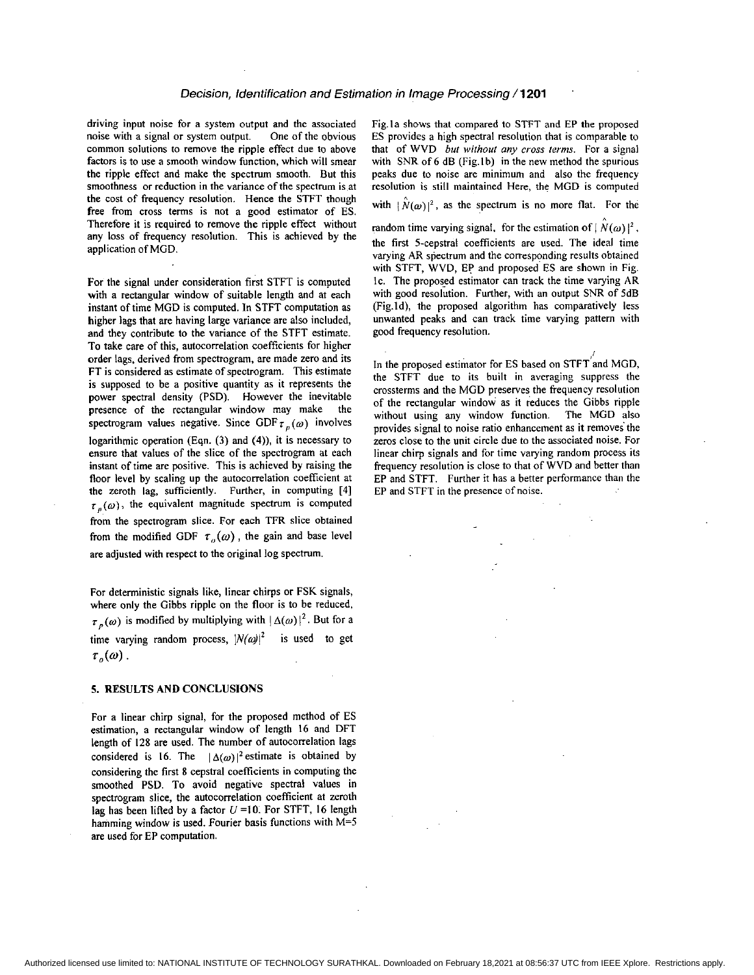driving input noise for a system output and the associated noise with a signal or system output. One of the obvious common solutions to remove the ripple effect due to above factors is to use a smooth window function, which will smear the ripple effect and make the spectrum smooth. But this smoothness or reduction in the variance of the spectrum is at the cost of frequency resolution. Hence the STFT though free from cross terms is not a good estimator of ES. Therefore it is required to remove the ripple effect without any loss of frequency resolution. This is achieved by the application of MGD.

For the signal under consideration first STFT is computed with a rectangular window of suitable length and at each instant of time MGD is computed. In STFT computation **as**  higher lags that are having large variance are also included, and they contribute to the variance of the STFT estimate. To take care of this, autocorrelation coefficients for higher order lags, derived from spectrogram, are made zero and its FT is considered **as** estimate of spectrogram. This estimate is supposed to be a positive quantity **as** it represents the power spectral density (PSD). However the inevitable presence of the rectangular window may make the spectrogram values negative. Since GDF  $\tau_n(\omega)$  involves logarithmic operation (Eqn. (3) and **(4)),** it is necessary to ensure that values of the slice of the spectrogram at each instant of time are positive. This is achieved by raising the floor level by scaling up the autocorrelation coefficient at the zeroth lag, sufficiently. Further, in computing **(41**   $\tau_p(\omega)$ , the equivalent magnitude spectrum is computed from the spectrogram slice. For each TFR slice obtained from the modified GDF  $\tau_a(\omega)$ , the gain and base level are adjusted with respect to the original log spectrum

For deterministic signals like, linear chirps or FSK signals, where only the Gibbs ripple on the floor is to be reduced,  $\tau_{p}(\omega)$  is modified by multiplying with  $|\Delta(\omega)|^2$ . But for a time varying random process,  $|N(\omega)|^2$  is used to get  $\tau$ <sub>o</sub> $(\omega)$ .

#### **5. RESULTS AND CONCLUSIONS**

For a linear chirp signal, for the proposed method of ES estimation, a rectangular window of length **16** and DFT length of **128** are used. The number of autocorrelation lags considered is 16. The  $|\Delta(\omega)|^2$  estimate is obtained by considering the first 8 cepstral coefficients in computing the smoothed PSD. To avoid negative spectral values in spectrogram slice, the autocorrelation coefficient at zeroth lag has been lifted by a factor U **=IO.** For STFT, **16** length hamming window is used. Fourier basis functions with M=5 are used for EP computation.

Fig.la shows that compared to STFT and EP the proposed ES provides a high spectral resolution that is comparable to that of WVD *but without any cross ferms.* For a signal with SNR of 6 dB (Fig.1b) in the new method the spurious peaks due to noise are minimum and also the frequency resolution is still maintained Here, the MGD is computed

with  $|\hat{N}(\omega)|^2$ , as the spectrum is no more flat. For the

random time varying signal, for the estimation of  $\left| N(\omega) \right|^2$ . the first 5-cepstral coefficients are used. The ideal time varying AR spectrum and the corresponding results obtained with STFT, WVD, EP and proposed ES are shown in Fig. IC. The proposed estimator can track the time varying AR with good resolution. Further, with an output SNR of 5dB (Fig.ld), the proposed algorithm has comparatively less unwanted peaks and can track time varying pattern with good frequency resolution.

In the proposed estimator for ES based on STFT and MGD, the STFT due to its built in averaging suppress the crossterms and the MGD preserves the frequency resolution of the rectangular window as it reduces the Gibbs ripple without using any window function. The MGD also provides signal to noise ratio enhancement as it removes the zeros close to the unit circle due to the associated noise. For linear chirp signals and for time varying random process its frequency resolution is close to that of WVD and better than EP and STFT. Further it has a better performance than the EP and STFT in the presence of noise.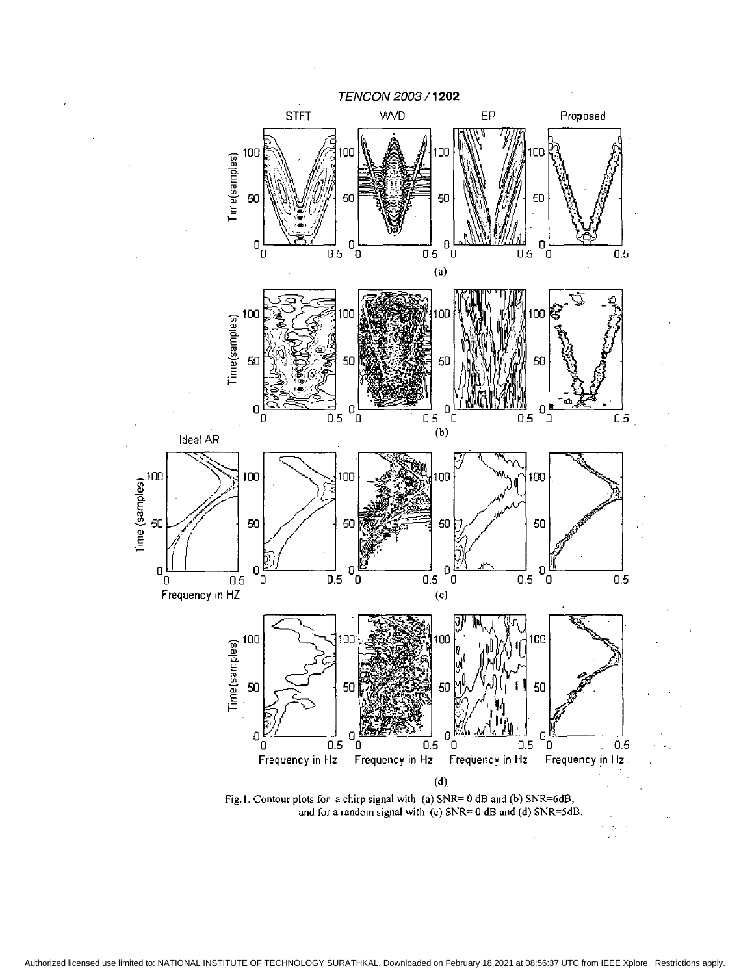

**Fig.1. Contour plots** for **a chirp signal with (a] SNR= 0 dB and (b) SNR=6dB, and** for **a random signal with** *(c)* **SNR= 0 dB arid (d) SNR=SdB.**